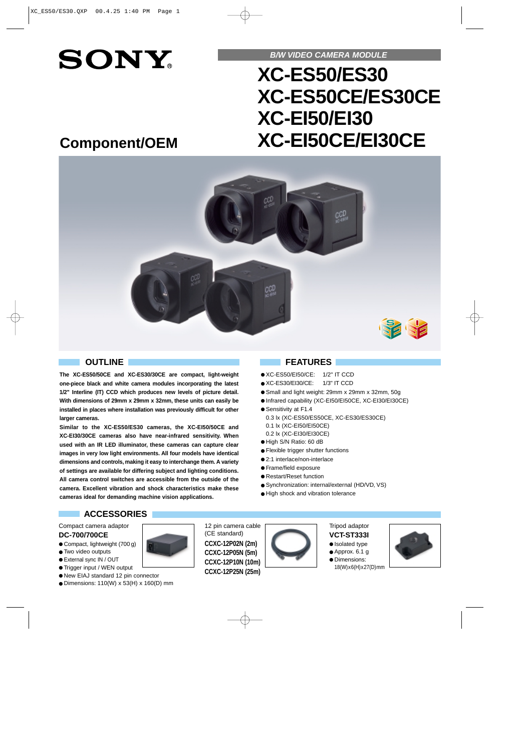# **SONY**

**B/W VIDEO CAMERA MODULE**

## **XC-ES50/ES30 XC-ES50CE/ES30CE XC-EI50/EI30 XC-EI50CE/EI30CE**

### **Component/OEM**



**The XC-ES50/50CE and XC-ES30/30CE are compact, light-weight one-piece black and white camera modules incorporating the latest 1/2" Interline (IT) CCD which produces new levels of picture detail. With dimensions of 29mm x 29mm x 32mm, these units can easily be installed in places where installation was previously difficult for other larger cameras.**

**Similar to the XC-ES50/ES30 cameras, the XC-EI50/50CE and XC-EI30/30CE cameras also have near-infrared sensitivity. When used with an IR LED illuminator, these cameras can capture clear images in very low light environments. All four models have identical dimensions and controls, making it easy to interchange them. A variety of settings are available for differing subject and lighting conditions. All camera control switches are accessible from the outside of the camera. Excellent vibration and shock characteristics make these cameras ideal for demanding machine vision applications.**

#### **OUTLINE FEATURES**

- XC-ES50/EI50/CE: 1/2" IT CCD
- XC-ES30/EI30/CE: 1/3" IT CCD
- Small and light weight: 29mm x 29mm x 32mm, 50g
- Infrared capability (XC-EI50/EI50CE, XC-EI30/EI30CE)
- Sensitivity at F1.4
- 0.3 lx (XC-ES50/ES50CE, XC-ES30/ES30CE)
- 0.1 lx (XC-EI50/EI50CE) 0.2 lx (XC-EI30/EI30CE)
- High S/N Ratio: 60 dB
- Flexible trigger shutter functions
- 2:1 interlace/non-interlace
- Frame/field exposure
- Restart/Reset function
- Synchronization: internal/external (HD/VD, VS)
- High shock and vibration tolerance

### **ACCESSORIES**

Compact camera adaptor **DC-700/700CE**

- Compact, lightweight (700 g)
- Two video outputs
- External sync IN / OUT
- Trigger input / WEN output
- New EIAJ standard 12 pin connector
- Dimensions: 110(W) x 53(H) x 160(D) mm

12 pin camera cable (CE standard) **CCXC-12P02N (2m) CCXC-12P05N (5m) CCXC-12P10N (10m) CCXC-12P25N (25m)**



#### Tripod adaptor **VCT-ST333I** ● Isolated type

- $\bullet$  Approx. 6.1 g
- Dimensions:
	-



18(W)x6(H)x27(D)mm